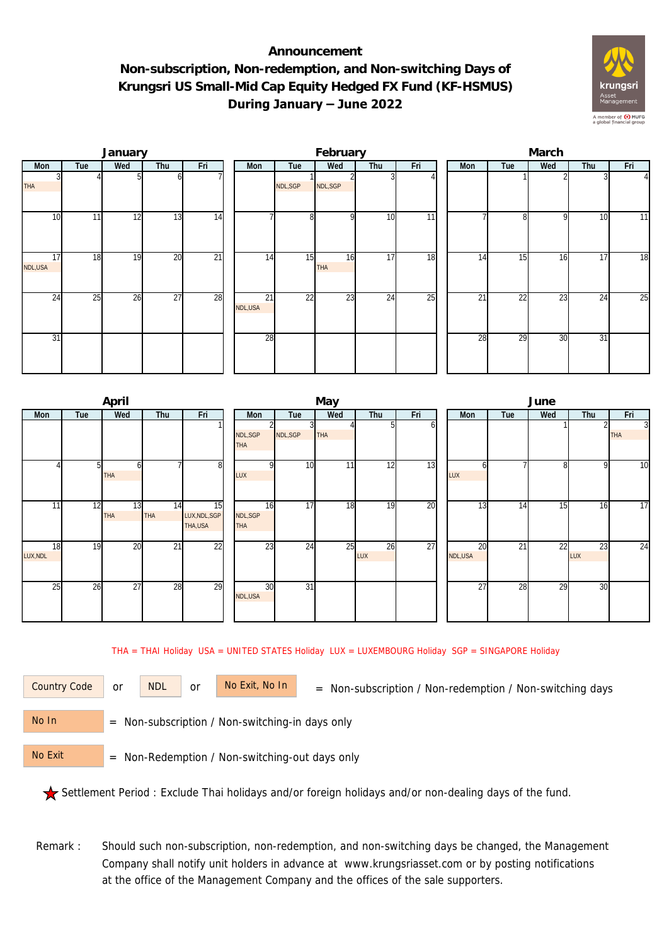## **Announcement Non-subscription, Non-redemption, and Non-switching Days of Krungsri US Small-Mid Cap Equity Hedged FX Fund (KF-HSMUS) During January – June 2022**



|               |     | January |                 |                 |               |                 | February  |                 |                 | March |     |     |     |          |  |  |
|---------------|-----|---------|-----------------|-----------------|---------------|-----------------|-----------|-----------------|-----------------|-------|-----|-----|-----|----------|--|--|
| Mon           | Tue | Wed     | Thu             | Fri             | Mon           | Tue             | Wed       | Thu             | Fri             | Mon   | Tue | Wed | Thu | Fri      |  |  |
| <b>THA</b>    |     |         | ωI              |                 |               | NDL, SGP        | NDL, SGP  |                 |                 |       |     |     |     | $\Delta$ |  |  |
| 10            | 11  | 12      | 13              | 14              |               | 8               | οI        | 10              | $\overline{11}$ |       | 81  | 9   | 10  | 11       |  |  |
| 17<br>NDL,USA | 18  | 19      | 20              | $\overline{21}$ | 14            | 15              | 16<br>THA | 17              | 18              | 14    | 15  | 16  | 17  | 18       |  |  |
| 24            | 25  | 26      | $\overline{27}$ | 28              | 21<br>NDL,USA | $\overline{22}$ | 23        | $2\overline{4}$ | 25              | 21    | 22  | 23  | 24  | 25       |  |  |
| 31            |     |         |                 |                 | 28            |                 |           |                 |                 | 28    | 29  | 30  | 31  |          |  |  |

|                |     | April            |           |                                |                        |                 | May             |           |     | June          |                 |                 |           |                              |  |  |
|----------------|-----|------------------|-----------|--------------------------------|------------------------|-----------------|-----------------|-----------|-----|---------------|-----------------|-----------------|-----------|------------------------------|--|--|
| Mon            | Tue | Wed              | Thu       | Fri                            | Mon                    | Tue             | Wed             | Thu       | Fri | <b>Mon</b>    | Tue             | Wed             | Thu       | Fri                          |  |  |
|                |     |                  |           |                                | NDL, SGP<br><b>THA</b> | NDL, SGP        | <b>THA</b>      |           | ωI  |               |                 |                 |           | $\overline{3}$<br><b>THA</b> |  |  |
|                |     | ы<br><b>THA</b>  |           | 8 <sup>1</sup>                 | $\Omega$<br>LUX        | 10              | 11 <sub>1</sub> | 12        | 13  | n<br>LUX      |                 | 8               | 9         | 10                           |  |  |
| 11             | 12  | 13<br><b>THA</b> | 14<br>THA | 15<br>LUX, NDL, SGP<br>THA,USA | 16<br>NDL,SGP<br>THA   | 17              | 18              | 19        | 20  | 13            | 14              | $1\overline{5}$ | 16        | 17                           |  |  |
| 18<br>LUX, NDL | 19  | 20               | 21        | $\overline{22}$                | $2\overline{3}$        | 24              | 25              | 26<br>LUX | 27  | 20<br>NDL,USA | $2\overline{1}$ | 22              | 23<br>LUX | 24                           |  |  |
| 25             | 26  | 27               | 28        | 29                             | 30<br>NDL, USA         | $\overline{31}$ |                 |           |     | 27            | 28              | 29              | 30        |                              |  |  |

THA = THAI Holiday USA = UNITED STATES Holiday LUX = LUXEMBOURG Holiday SGP = SINGAPORE Holiday

or NDL or

Country Code or NDL or No Exit, No In = Non-subscription / Non-redemption / Non-switching days

 = Non-subscription / Non-switching-in days only No In

 = Non-Redemption / Non-switching-out days only No Exit

Settlement Period : Exclude Thai holidays and/or foreign holidays and/or non-dealing days of the fund.

Remark : Should such non-subscription, non-redemption, and non-switching days be changed, the Management Company shall notify unit holders in advance at www.krungsriasset.com or by posting notifications at the office of the Management Company and the offices of the sale supporters.